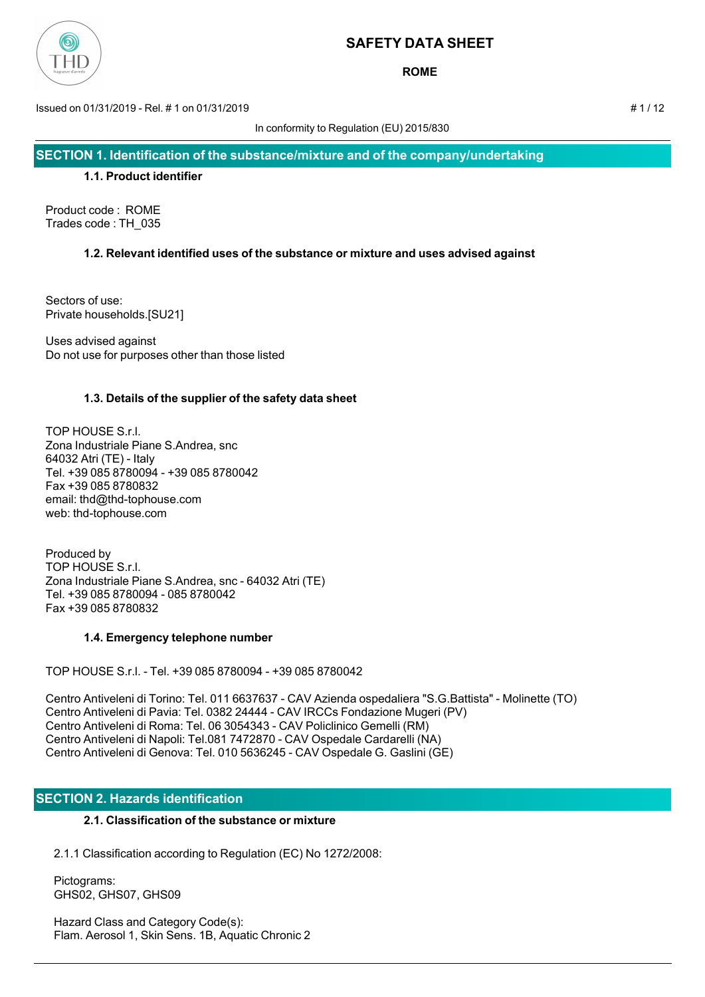

**ROME**

Issued on 01/31/2019 - Rel. # 1 on 01/31/2019 # 1 / 12

In conformity to Regulation (EU) 2015/830

**SECTION 1. Identification of the substance/mixture and of the company/undertaking**

## **1.1. Product identifier**

Product code : ROME Trades code : TH\_035

## **1.2. Relevant identified uses of the substance or mixture and uses advised against**

Sectors of use: Private households.[SU21]

Uses advised against Do not use for purposes other than those listed

## **1.3. Details of the supplier of the safety data sheet**

TOP HOUSE S.r.l. Zona Industriale Piane S.Andrea, snc 64032 Atri (TE) - Italy Tel. +39 085 8780094 - +39 085 8780042 Fax +39 085 8780832 email: thd@thd-tophouse.com web: thd-tophouse.com

Produced by TOP HOUSE S.r.l. Zona Industriale Piane S.Andrea, snc - 64032 Atri (TE) Tel. +39 085 8780094 - 085 8780042 Fax +39 085 8780832

## **1.4. Emergency telephone number**

TOP HOUSE S.r.l. - Tel. +39 085 8780094 - +39 085 8780042

Centro Antiveleni di Torino: Tel. 011 6637637 - CAV Azienda ospedaliera "S.G.Battista" - Molinette (TO) Centro Antiveleni di Pavia: Tel. 0382 24444 - CAV IRCCs Fondazione Mugeri (PV) Centro Antiveleni di Roma: Tel. 06 3054343 - CAV Policlinico Gemelli (RM) Centro Antiveleni di Napoli: Tel.081 7472870 - CAV Ospedale Cardarelli (NA) Centro Antiveleni di Genova: Tel. 010 5636245 - CAV Ospedale G. Gaslini (GE)

## **SECTION 2. Hazards identification**

## **2.1. Classification of the substance or mixture**

2.1.1 Classification according to Regulation (EC) No 1272/2008:

 Pictograms: GHS02, GHS07, GHS09

 Hazard Class and Category Code(s): Flam. Aerosol 1, Skin Sens. 1B, Aquatic Chronic 2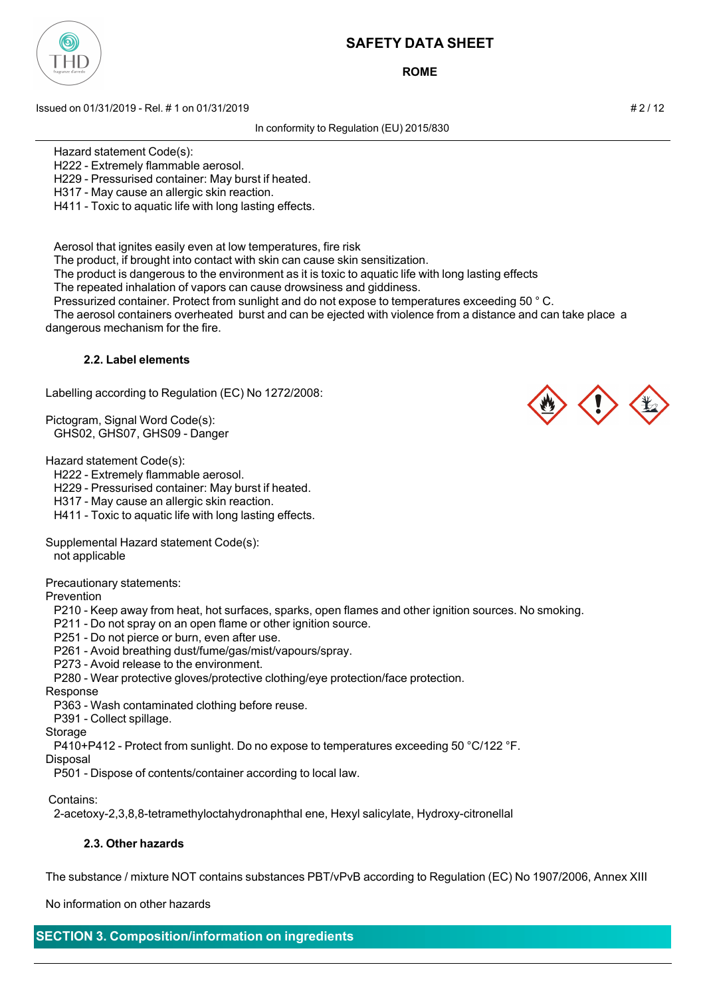

**ROME**

Issued on 01/31/2019 - Rel. # 1 on 01/31/2019 **And Contact the Contact of the Contact of A** 2 / 12

In conformity to Regulation (EU) 2015/830

Hazard statement Code(s):

H222 - Extremely flammable aerosol.

H229 - Pressurised container: May burst if heated.

H317 - May cause an allergic skin reaction.

H411 - Toxic to aquatic life with long lasting effects.

Aerosol that ignites easily even at low temperatures, fire risk

The product, if brought into contact with skin can cause skin sensitization.

The product is dangerous to the environment as it is toxic to aquatic life with long lasting effects

The repeated inhalation of vapors can cause drowsiness and giddiness.

Pressurized container. Protect from sunlight and do not expose to temperatures exceeding 50 ° C.

 The aerosol containers overheated burst and can be ejected with violence from a distance and can take place a dangerous mechanism for the fire.

### **2.2. Label elements**

Labelling according to Regulation (EC) No 1272/2008:

Pictogram, Signal Word Code(s): GHS02, GHS07, GHS09 - Danger

Hazard statement Code(s):

H222 - Extremely flammable aerosol.

H229 - Pressurised container: May burst if heated.

H317 - May cause an allergic skin reaction.

H411 - Toxic to aquatic life with long lasting effects.

Supplemental Hazard statement Code(s):

not applicable

Precautionary statements:

Prevention

P210 - Keep away from heat, hot surfaces, sparks, open flames and other ignition sources. No smoking.

P211 - Do not spray on an open flame or other ignition source.

P251 - Do not pierce or burn, even after use.

- P261 Avoid breathing dust/fume/gas/mist/vapours/spray.
- P273 Avoid release to the environment.

P280 - Wear protective gloves/protective clothing/eye protection/face protection.

Response

P363 - Wash contaminated clothing before reuse.

P391 - Collect spillage.

**Storage** 

P410+P412 - Protect from sunlight. Do no expose to temperatures exceeding 50 °C/122 °F.

Disposal

P501 - Dispose of contents/container according to local law.

Contains:

2-acetoxy-2,3,8,8-tetramethyloctahydronaphthal ene, Hexyl salicylate, Hydroxy-citronellal

### **2.3. Other hazards**

The substance / mixture NOT contains substances PBT/vPvB according to Regulation (EC) No 1907/2006, Annex XIII

No information on other hazards

## **SECTION 3. Composition/information on ingredients**



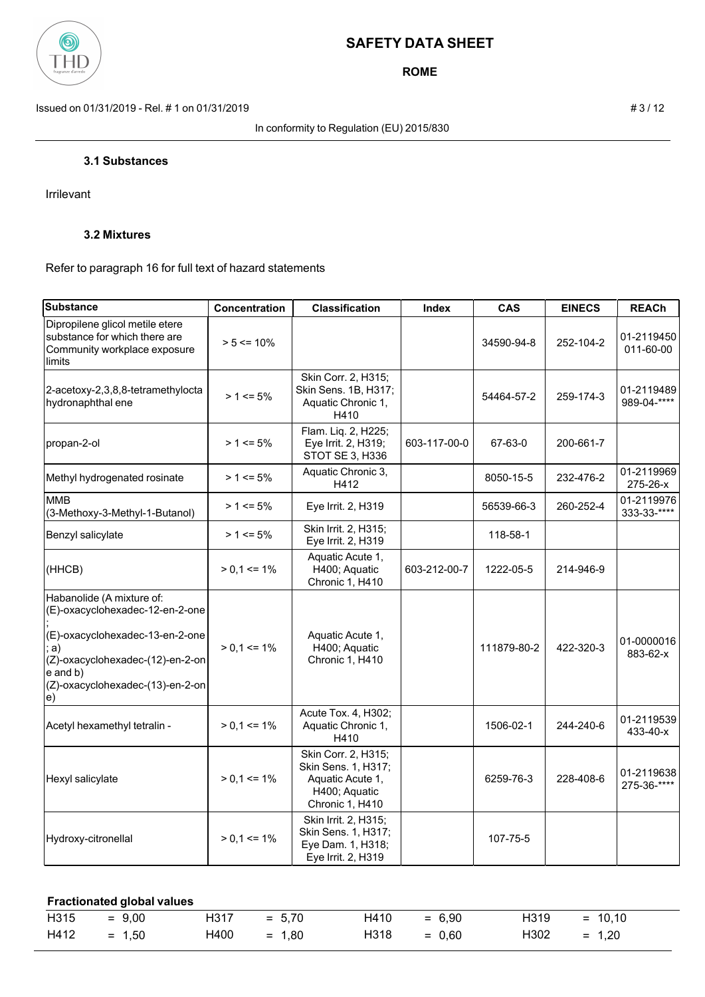

**ROME**

Issued on 01/31/2019 - Rel. # 1 on 01/31/2019 **# 3** / 12

In conformity to Regulation (EU) 2015/830

Irrilevant

## **3.2 Mixtures**

Refer to paragraph 16 for full text of hazard statements

| <b>Substance</b>                                                                                                                                                                                | Concentration   | <b>Classification</b>                                                                              | <b>Index</b> | <b>CAS</b>  | <b>EINECS</b> | <b>REACh</b>              |
|-------------------------------------------------------------------------------------------------------------------------------------------------------------------------------------------------|-----------------|----------------------------------------------------------------------------------------------------|--------------|-------------|---------------|---------------------------|
| Dipropilene glicol metile etere<br>substance for which there are<br>Community workplace exposure<br>limits                                                                                      | $> 5 \le 10\%$  |                                                                                                    |              | 34590-94-8  | 252-104-2     | 01-2119450<br>011-60-00   |
| 2-acetoxy-2,3,8,8-tetramethylocta<br>hydronaphthal ene                                                                                                                                          | $> 1 \le 5\%$   | Skin Corr. 2, H315;<br>Skin Sens. 1B, H317;<br>Aquatic Chronic 1,<br>H410                          |              | 54464-57-2  | 259-174-3     | 01-2119489<br>989-04-**** |
| propan-2-ol                                                                                                                                                                                     | $> 1 \le 5\%$   | Flam. Liq. 2, H225;<br>Eye Irrit. 2, H319;<br>STOT SE 3, H336                                      | 603-117-00-0 | 67-63-0     | 200-661-7     |                           |
| Methyl hydrogenated rosinate                                                                                                                                                                    | $> 1 \le 5\%$   | Aquatic Chronic 3,<br>H412                                                                         |              | 8050-15-5   | 232-476-2     | 01-2119969<br>275-26-x    |
| <b>MMB</b><br>(3-Methoxy-3-Methyl-1-Butanol)                                                                                                                                                    | $> 1 \le 5\%$   | Eye Irrit. 2, H319                                                                                 |              | 56539-66-3  | 260-252-4     | 01-2119976<br>333-33-**** |
| Benzyl salicylate                                                                                                                                                                               | $> 1 \le 5\%$   | Skin Irrit. 2, H315;<br>Eye Irrit. 2, H319                                                         |              | 118-58-1    |               |                           |
| (HHCB)                                                                                                                                                                                          | $> 0.1 \le 1\%$ | Aquatic Acute 1,<br>H400; Aquatic<br>Chronic 1, H410                                               | 603-212-00-7 | 1222-05-5   | 214-946-9     |                           |
| Habanolide (A mixture of:<br>(E)-oxacyclohexadec-12-en-2-one<br>(E)-oxacyclohexadec-13-en-2-one<br>a)<br>(Z)-oxacyclohexadec-(12)-en-2-on<br>e and b)<br>(Z)-oxacyclohexadec-(13)-en-2-on<br>e) | $> 0.1 \le 1\%$ | Aquatic Acute 1,<br>H400; Aquatic<br>Chronic 1, H410                                               |              | 111879-80-2 | 422-320-3     | 01-0000016<br>883-62-x    |
| Acetyl hexamethyl tetralin -                                                                                                                                                                    | $> 0.1 \le 1\%$ | Acute Tox. 4, H302;<br>Aquatic Chronic 1,<br>H410                                                  |              | 1506-02-1   | 244-240-6     | 01-2119539<br>433-40-x    |
| Hexyl salicylate                                                                                                                                                                                | $> 0.1 \le 1\%$ | Skin Corr. 2, H315;<br>Skin Sens. 1, H317;<br>Aquatic Acute 1,<br>H400; Aquatic<br>Chronic 1, H410 |              | 6259-76-3   | 228-408-6     | 01-2119638<br>275-36-**** |
| Hydroxy-citronellal                                                                                                                                                                             | $> 0.1 \le 1\%$ | Skin Irrit. 2, H315;<br>Skin Sens. 1, H317;<br>Eye Dam. 1, H318;<br>Eye Irrit. 2, H319             |              | 107-75-5    |               |                           |

| <b>Fractionated global values</b> |          |      |          |      |          |      |           |  |
|-----------------------------------|----------|------|----------|------|----------|------|-----------|--|
| H315                              | $= 9.00$ | H317 | $= 5.70$ | H410 | $= 6.90$ | H319 | $= 10.10$ |  |
| H412                              | $= 1.50$ | H400 | $= 1.80$ | H318 | $= 0.60$ | H302 | $= 1.20$  |  |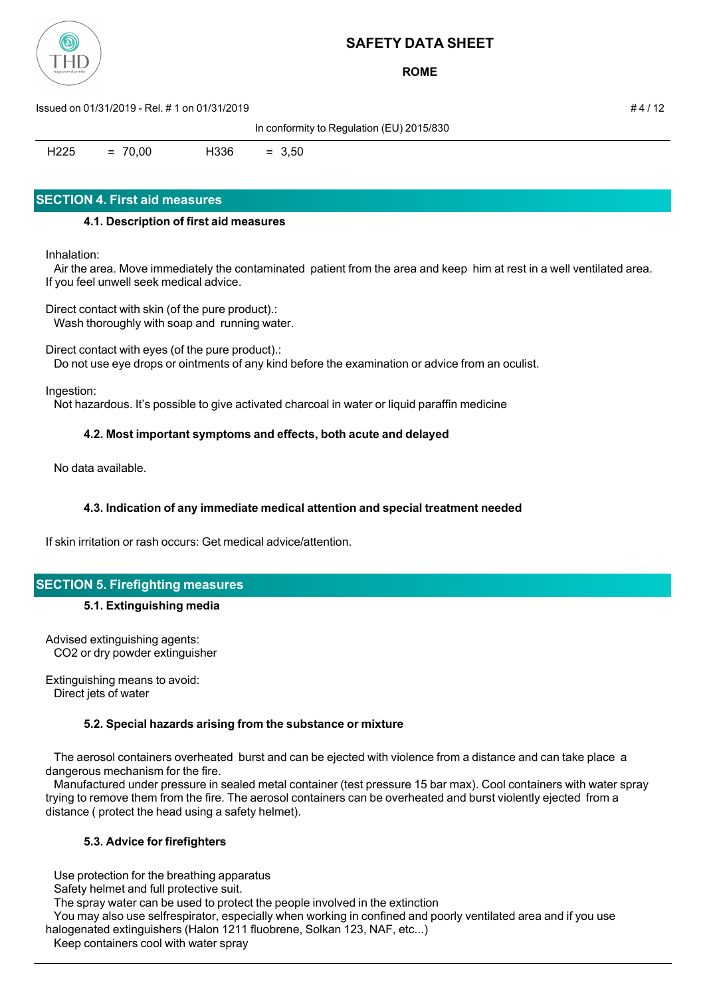

**ROME**

Issued on 01/31/2019 - Rel. # 1 on 01/31/2019 # 4 / 12

In conformity to Regulation (EU) 2015/830

 $H225 = 70.00$   $H336 = 3.50$ 

## **SECTION 4. First aid measures**

## **4.1. Description of first aid measures**

Inhalation:

 Air the area. Move immediately the contaminated patient from the area and keep him at rest in a well ventilated area. If you feel unwell seek medical advice.

Direct contact with skin (of the pure product).: Wash thoroughly with soap and running water.

Direct contact with eyes (of the pure product).:

Do not use eye drops or ointments of any kind before the examination or advice from an oculist.

Ingestion:

Not hazardous. It's possible to give activated charcoal in water or liquid paraffin medicine

## **4.2. Most important symptoms and effects, both acute and delayed**

No data available.

## **4.3. Indication of any immediate medical attention and special treatment needed**

If skin irritation or rash occurs: Get medical advice/attention.

## **SECTION 5. Firefighting measures**

## **5.1. Extinguishing media**

Advised extinguishing agents: CO2 or dry powder extinguisher

Extinguishing means to avoid: Direct jets of water

## **5.2. Special hazards arising from the substance or mixture**

 The aerosol containers overheated burst and can be ejected with violence from a distance and can take place a dangerous mechanism for the fire.

 Manufactured under pressure in sealed metal container (test pressure 15 bar max). Cool containers with water spray trying to remove them from the fire. The aerosol containers can be overheated and burst violently ejected from a distance ( protect the head using a safety helmet).

## **5.3. Advice for firefighters**

Use protection for the breathing apparatus

Safety helmet and full protective suit.

The spray water can be used to protect the people involved in the extinction

 You may also use selfrespirator, especially when working in confined and poorly ventilated area and if you use halogenated extinguishers (Halon 1211 fluobrene, Solkan 123, NAF, etc...)

Keep containers cool with water spray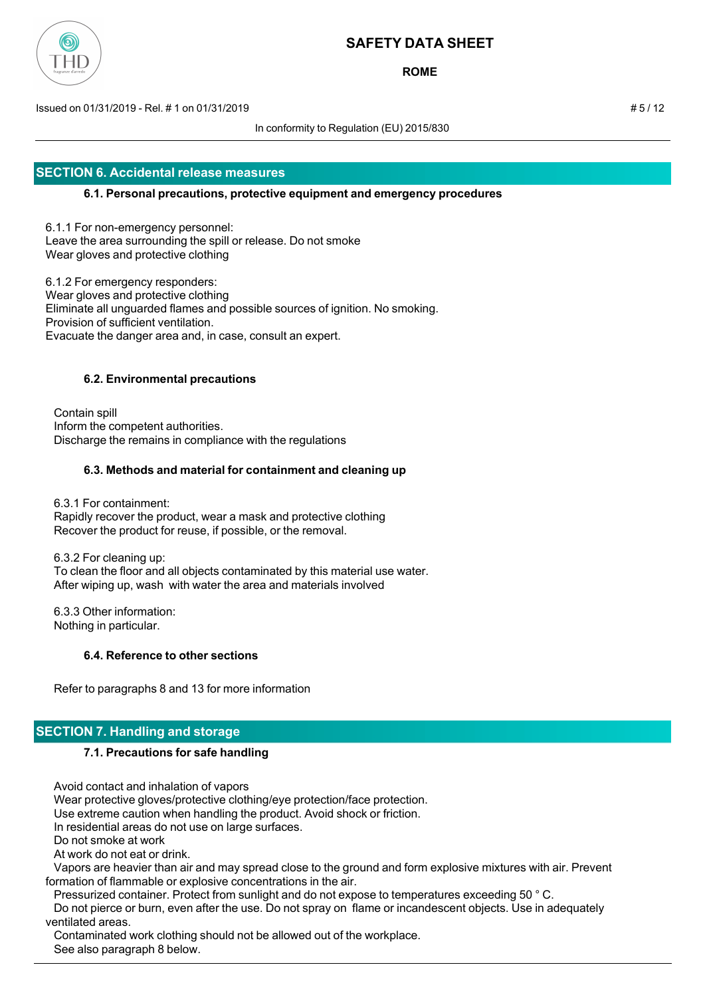

**ROME**

Issued on 01/31/2019 - Rel. # 1 on 01/31/2019 # 5 / 12

In conformity to Regulation (EU) 2015/830

## **SECTION 6. Accidental release measures**

### **6.1. Personal precautions, protective equipment and emergency procedures**

6.1.1 For non-emergency personnel: Leave the area surrounding the spill or release. Do not smoke Wear gloves and protective clothing

6.1.2 For emergency responders: Wear gloves and protective clothing Eliminate all unguarded flames and possible sources of ignition. No smoking. Provision of sufficient ventilation. Evacuate the danger area and, in case, consult an expert.

### **6.2. Environmental precautions**

 Contain spill Inform the competent authorities. Discharge the remains in compliance with the regulations

### **6.3. Methods and material for containment and cleaning up**

 6.3.1 For containment: Rapidly recover the product, wear a mask and protective clothing Recover the product for reuse, if possible, or the removal.

 6.3.2 For cleaning up: To clean the floor and all objects contaminated by this material use water. After wiping up, wash with water the area and materials involved

 6.3.3 Other information: Nothing in particular.

## **6.4. Reference to other sections**

Refer to paragraphs 8 and 13 for more information

## **SECTION 7. Handling and storage**

### **7.1. Precautions for safe handling**

 Avoid contact and inhalation of vapors Wear protective gloves/protective clothing/eye protection/face protection. Use extreme caution when handling the product. Avoid shock or friction. In residential areas do not use on large surfaces. Do not smoke at work At work do not eat or drink. Vapors are heavier than air and may spread close to the ground and form explosive mixtures with air. Prevent formation of flammable or explosive concentrations in the air. Pressurized container. Protect from sunlight and do not expose to temperatures exceeding 50 ° C. Do not pierce or burn, even after the use. Do not spray on flame or incandescent objects. Use in adequately ventilated areas. Contaminated work clothing should not be allowed out of the workplace.

See also paragraph 8 below.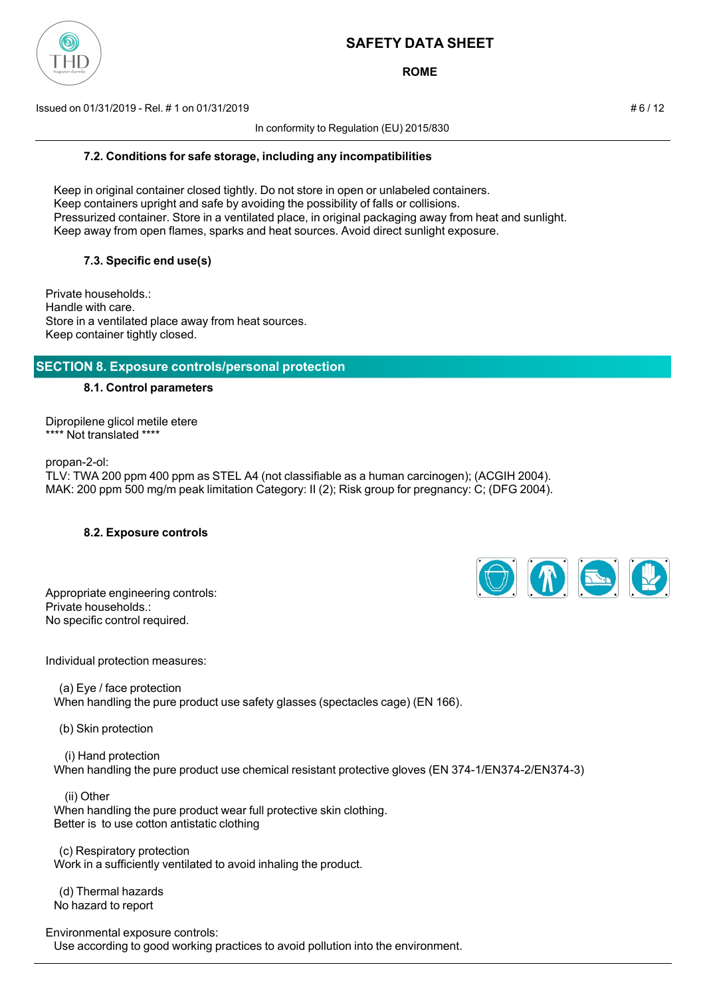

**ROME**

Issued on 01/31/2019 - Rel. # 1 on 01/31/2019 **And Contact the Contact of the Contact of the Contact of the Contact of the Contact of the Contact of the Contact of the Contact of the Contact of the Contact of the Contact o** 

In conformity to Regulation (EU) 2015/830

## **7.2. Conditions for safe storage, including any incompatibilities**

 Keep in original container closed tightly. Do not store in open or unlabeled containers. Keep containers upright and safe by avoiding the possibility of falls or collisions. Pressurized container. Store in a ventilated place, in original packaging away from heat and sunlight. Keep away from open flames, sparks and heat sources. Avoid direct sunlight exposure.

## **7.3. Specific end use(s)**

Private households.: Handle with care. Store in a ventilated place away from heat sources. Keep container tightly closed.

## **SECTION 8. Exposure controls/personal protection**

### **8.1. Control parameters**

Dipropilene glicol metile etere \*\*\*\* Not translated \*\*\*\*

propan-2-ol:

TLV: TWA 200 ppm 400 ppm as STEL A4 (not classifiable as a human carcinogen); (ACGIH 2004). MAK: 200 ppm 500 mg/m peak limitation Category: II (2); Risk group for pregnancy: C; (DFG 2004).

### **8.2. Exposure controls**

| Appropriate engineering controls: |
|-----------------------------------|
| Private households.:              |
| No specific control required.     |



Individual protection measures:

 (a) Eye / face protection When handling the pure product use safety glasses (spectacles cage) (EN 166).

(b) Skin protection

 (i) Hand protection When handling the pure product use chemical resistant protective gloves (EN 374-1/EN374-2/EN374-3)

 (ii) Other When handling the pure product wear full protective skin clothing. Better is to use cotton antistatic clothing

 (c) Respiratory protection Work in a sufficiently ventilated to avoid inhaling the product.

 (d) Thermal hazards No hazard to report

Environmental exposure controls:

Use according to good working practices to avoid pollution into the environment.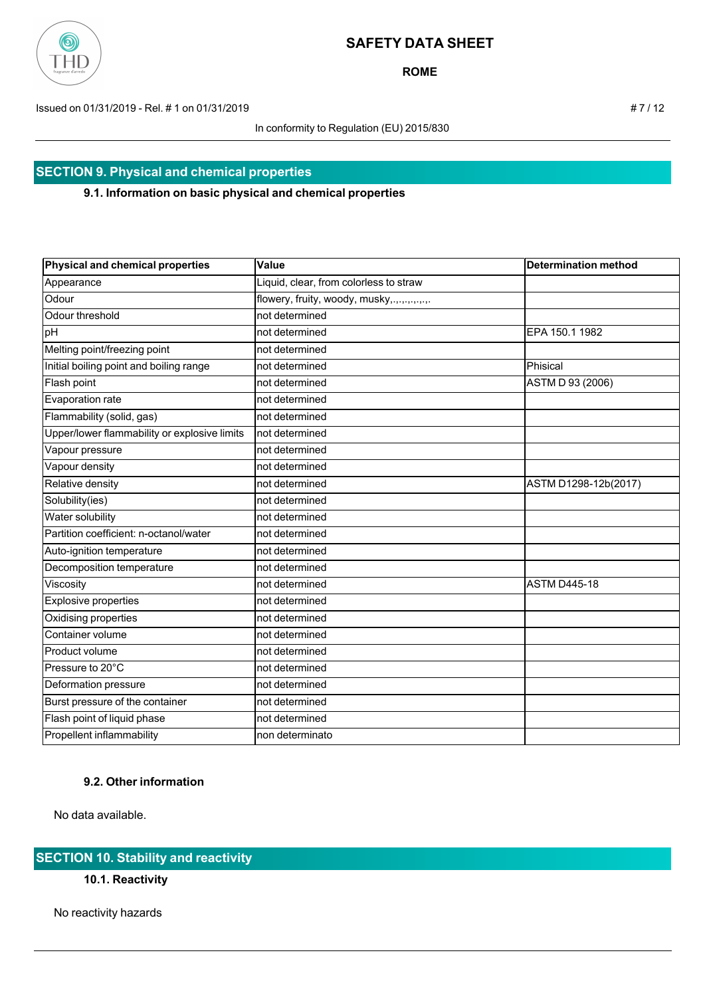

**ROME**

Issued on 01/31/2019 - Rel. # 1 on 01/31/2019 **# 7 / 12** 

In conformity to Regulation (EU) 2015/830

# **SECTION 9. Physical and chemical properties**

### **9.1. Information on basic physical and chemical properties**

| Physical and chemical properties             | Value                                      | <b>Determination method</b> |
|----------------------------------------------|--------------------------------------------|-----------------------------|
| Appearance                                   | Liquid, clear, from colorless to straw     |                             |
| Odour                                        | flowery, fruity, woody, musky,.,.,,,,,,,,, |                             |
| Odour threshold                              | not determined                             |                             |
| pH                                           | not determined                             | EPA 150.1 1982              |
| Melting point/freezing point                 | not determined                             |                             |
| Initial boiling point and boiling range      | not determined                             | Phisical                    |
| Flash point                                  | not determined                             | ASTM D 93 (2006)            |
| Evaporation rate                             | not determined                             |                             |
| Flammability (solid, gas)                    | not determined                             |                             |
| Upper/lower flammability or explosive limits | not determined                             |                             |
| Vapour pressure                              | not determined                             |                             |
| Vapour density                               | not determined                             |                             |
| Relative density                             | not determined                             | ASTM D1298-12b(2017)        |
| Solubility(ies)                              | not determined                             |                             |
| Water solubility                             | not determined                             |                             |
| Partition coefficient: n-octanol/water       | not determined                             |                             |
| Auto-ignition temperature                    | not determined                             |                             |
| Decomposition temperature                    | not determined                             |                             |
| Viscosity                                    | not determined                             | <b>ASTM D445-18</b>         |
| Explosive properties                         | not determined                             |                             |
| Oxidising properties                         | not determined                             |                             |
| Container volume                             | not determined                             |                             |
| Product volume                               | not determined                             |                             |
| Pressure to 20°C                             | not determined                             |                             |
| Deformation pressure                         | not determined                             |                             |
| Burst pressure of the container              | not determined                             |                             |
| Flash point of liquid phase                  | not determined                             |                             |
| Propellent inflammability                    | non determinato                            |                             |

## **9.2. Other information**

No data available.

## **SECTION 10. Stability and reactivity**

**10.1. Reactivity**

No reactivity hazards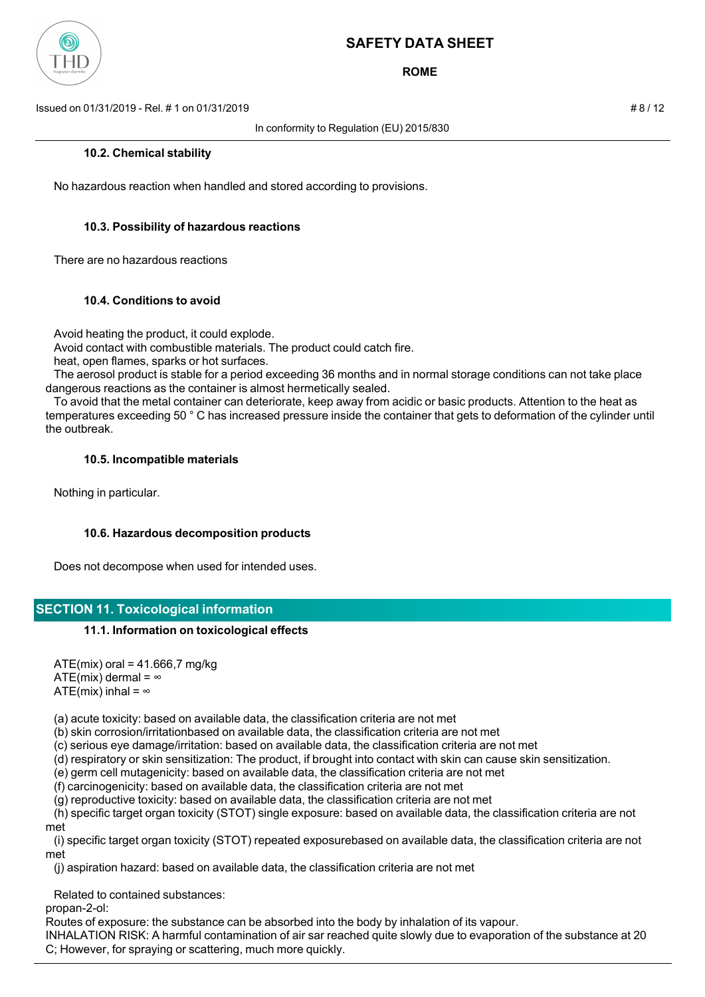

**ROME**

Issued on 01/31/2019 - Rel. # 1 on 01/31/2019 # 8 / 12

In conformity to Regulation (EU) 2015/830

### **10.2. Chemical stability**

No hazardous reaction when handled and stored according to provisions.

### **10.3. Possibility of hazardous reactions**

There are no hazardous reactions

### **10.4. Conditions to avoid**

Avoid heating the product, it could explode.

Avoid contact with combustible materials. The product could catch fire.

heat, open flames, sparks or hot surfaces.

 The aerosol product is stable for a period exceeding 36 months and in normal storage conditions can not take place dangerous reactions as the container is almost hermetically sealed.

 To avoid that the metal container can deteriorate, keep away from acidic or basic products. Attention to the heat as temperatures exceeding 50 ° C has increased pressure inside the container that gets to deformation of the cylinder until the outbreak.

### **10.5. Incompatible materials**

Nothing in particular.

## **10.6. Hazardous decomposition products**

Does not decompose when used for intended uses.

## **SECTION 11. Toxicological information**

### **11.1. Information on toxicological effects**

 $ATE(min)$  oral = 41.666,7 mg/kg ATE(mix) dermal =  $\infty$ ATE(mix) inhal =  $\infty$ 

(a) acute toxicity: based on available data, the classification criteria are not met

(b) skin corrosion/irritationbased on available data, the classification criteria are not met

(c) serious eye damage/irritation: based on available data, the classification criteria are not met

(d) respiratory or skin sensitization: The product, if brought into contact with skin can cause skin sensitization.

(e) germ cell mutagenicity: based on available data, the classification criteria are not met

(f) carcinogenicity: based on available data, the classification criteria are not met

(g) reproductive toxicity: based on available data, the classification criteria are not met

 (h) specific target organ toxicity (STOT) single exposure: based on available data, the classification criteria are not met

 (i) specific target organ toxicity (STOT) repeated exposurebased on available data, the classification criteria are not met

(j) aspiration hazard: based on available data, the classification criteria are not met

Related to contained substances:

propan-2-ol:

Routes of exposure: the substance can be absorbed into the body by inhalation of its vapour.

INHALATION RISK: A harmful contamination of air sar reached quite slowly due to evaporation of the substance at 20 C; However, for spraying or scattering, much more quickly.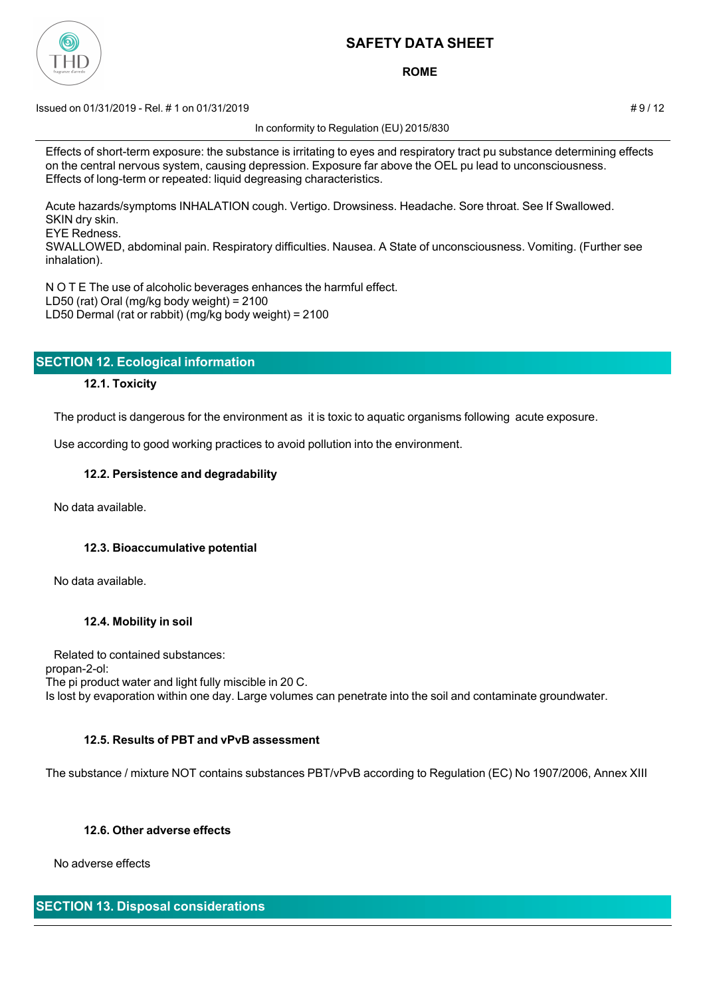

**ROME**

 $\pm$  9/12 Issued on 01/31/2019 - Rel. # 1 on 01/31/2019

In conformity to Regulation (EU) 2015/830

Effects of short-term exposure: the substance is irritating to eyes and respiratory tract pu substance determining effects on the central nervous system, causing depression. Exposure far above the OEL pu lead to unconsciousness. Effects of long-term or repeated: liquid degreasing characteristics.

Acute hazards/symptoms INHALATION cough. Vertigo. Drowsiness. Headache. Sore throat. See If Swallowed. SKIN dry skin.

EYE Redness.

SWALLOWED, abdominal pain. Respiratory difficulties. Nausea. A State of unconsciousness. Vomiting. (Further see inhalation).

N O T E The use of alcoholic beverages enhances the harmful effect. LD50 (rat) Oral (mg/kg body weight) = 2100 LD50 Dermal (rat or rabbit) (mg/kg body weight) = 2100

|  | <b>SECTION 12. Ecological information</b> |  |  |  |
|--|-------------------------------------------|--|--|--|
|  |                                           |  |  |  |

## **12.1. Toxicity**

The product is dangerous for the environment as it is toxic to aquatic organisms following acute exposure.

Use according to good working practices to avoid pollution into the environment.

### **12.2. Persistence and degradability**

No data available.

## **12.3. Bioaccumulative potential**

No data available.

## **12.4. Mobility in soil**

 Related to contained substances: propan-2-ol: The pi product water and light fully miscible in 20 C. Is lost by evaporation within one day. Large volumes can penetrate into the soil and contaminate groundwater.

## **12.5. Results of PBT and vPvB assessment**

The substance / mixture NOT contains substances PBT/vPvB according to Regulation (EC) No 1907/2006, Annex XIII

## **12.6. Other adverse effects**

No adverse effects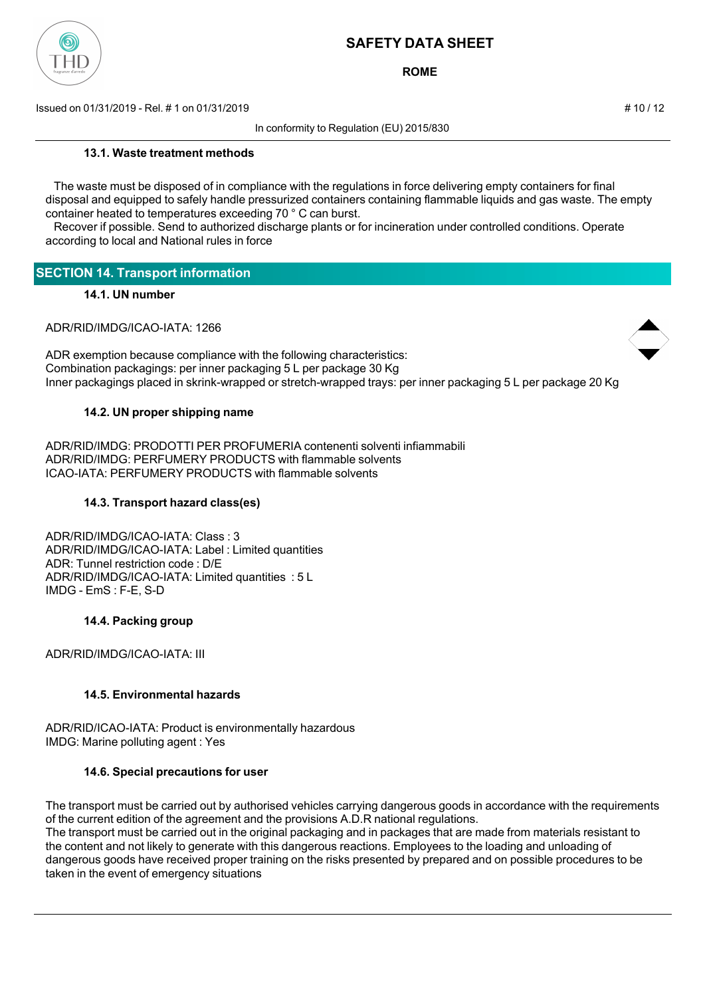

**ROME**

Issued on 01/31/2019 - Rel. # 1 on 01/31/2019 **# 10 / 12**  $\neq$  10 / 12

In conformity to Regulation (EU) 2015/830

### **13.1. Waste treatment methods**

 The waste must be disposed of in compliance with the regulations in force delivering empty containers for final disposal and equipped to safely handle pressurized containers containing flammable liquids and gas waste. The empty container heated to temperatures exceeding 70 ° C can burst.

 Recover if possible. Send to authorized discharge plants or for incineration under controlled conditions. Operate according to local and National rules in force

## **SECTION 14. Transport information**

## **14.1. UN number**

ADR/RID/IMDG/ICAO-IATA: 1266

ADR exemption because compliance with the following characteristics: Combination packagings: per inner packaging 5 L per package 30 Kg Inner packagings placed in skrink-wrapped or stretch-wrapped trays: per inner packaging 5 L per package 20 Kg

### **14.2. UN proper shipping name**

ADR/RID/IMDG: PRODOTTI PER PROFUMERIA contenenti solventi infiammabili ADR/RID/IMDG: PERFUMERY PRODUCTS with flammable solvents ICAO-IATA: PERFUMERY PRODUCTS with flammable solvents

### **14.3. Transport hazard class(es)**

ADR/RID/IMDG/ICAO-IATA: Class : 3 ADR/RID/IMDG/ICAO-IATA: Label : Limited quantities ADR: Tunnel restriction code : D/E ADR/RID/IMDG/ICAO-IATA: Limited quantities : 5 L IMDG - EmS : F-E, S-D

### **14.4. Packing group**

ADR/RID/IMDG/ICAO-IATA: III

## **14.5. Environmental hazards**

ADR/RID/ICAO-IATA: Product is environmentally hazardous IMDG: Marine polluting agent : Yes

## **14.6. Special precautions for user**

The transport must be carried out by authorised vehicles carrying dangerous goods in accordance with the requirements of the current edition of the agreement and the provisions A.D.R national regulations.

The transport must be carried out in the original packaging and in packages that are made from materials resistant to the content and not likely to generate with this dangerous reactions. Employees to the loading and unloading of dangerous goods have received proper training on the risks presented by prepared and on possible procedures to be taken in the event of emergency situations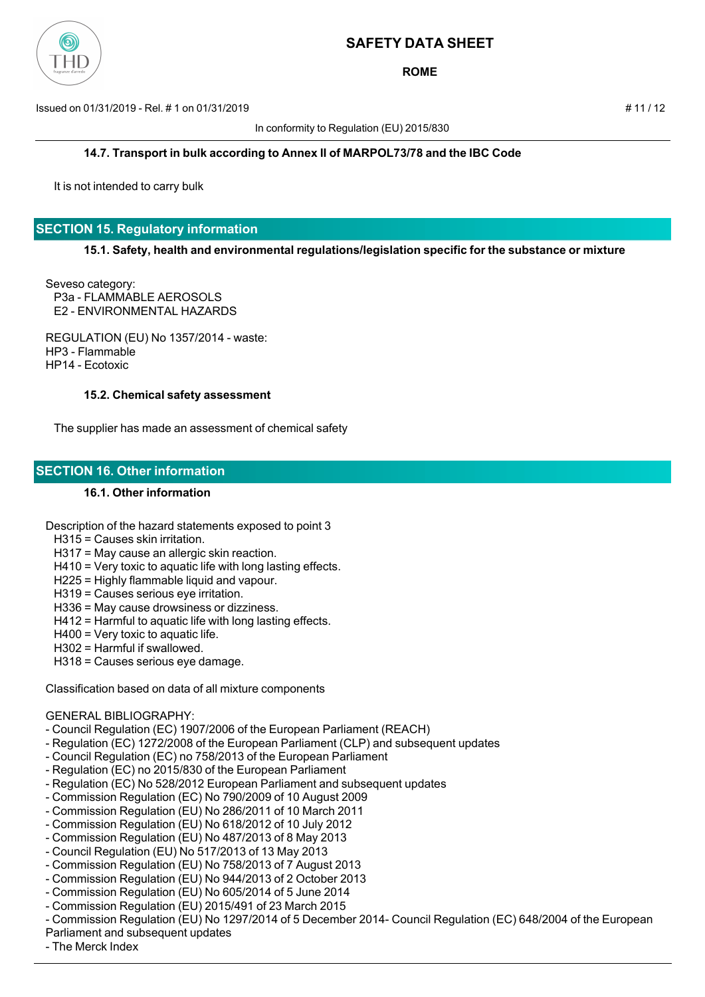

**ROME**

Issued on 01/31/2019 - Rel. # 1 on 01/31/2019 # 11 / 12

In conformity to Regulation (EU) 2015/830

**14.7. Transport in bulk according to Annex II of MARPOL73/78 and the IBC Code**

It is not intended to carry bulk

## **SECTION 15. Regulatory information**

**15.1. Safety, health and environmental regulations/legislation specific for the substance or mixture**

Seveso category: P3a - FLAMMABLE AEROSOLS E2 - ENVIRONMENTAL HAZARDS

REGULATION (EU) No 1357/2014 - waste: HP3 - Flammable HP14 - Ecotoxic

#### **15.2. Chemical safety assessment**

The supplier has made an assessment of chemical safety

### **SECTION 16. Other information**

### **16.1. Other information**

Description of the hazard statements exposed to point 3

- H315 = Causes skin irritation.
- H317 = May cause an allergic skin reaction.
- H410 = Very toxic to aquatic life with long lasting effects.
- H225 = Highly flammable liquid and vapour.
- H319 = Causes serious eye irritation.
- H336 = May cause drowsiness or dizziness.
- H412 = Harmful to aquatic life with long lasting effects.
- H400 = Very toxic to aquatic life.
- H302 = Harmful if swallowed.
- H318 = Causes serious eye damage.

Classification based on data of all mixture components

### GENERAL BIBLIOGRAPHY:

- Council Regulation (EC) 1907/2006 of the European Parliament (REACH)
- Regulation (EC) 1272/2008 of the European Parliament (CLP) and subsequent updates
- Council Regulation (EC) no 758/2013 of the European Parliament
- Regulation (EC) no 2015/830 of the European Parliament
- Regulation (EC) No 528/2012 European Parliament and subsequent updates
- Commission Regulation (EC) No 790/2009 of 10 August 2009
- Commission Regulation (EU) No 286/2011 of 10 March 2011
- Commission Regulation (EU) No 618/2012 of 10 July 2012
- Commission Regulation (EU) No 487/2013 of 8 May 2013
- Council Regulation (EU) No 517/2013 of 13 May 2013
- Commission Regulation (EU) No 758/2013 of 7 August 2013
- Commission Regulation (EU) No 944/2013 of 2 October 2013
- Commission Regulation (EU) No 605/2014 of 5 June 2014
- Commission Regulation (EU) 2015/491 of 23 March 2015
- Commission Regulation (EU) No 1297/2014 of 5 December 2014- Council Regulation (EC) 648/2004 of the European
- Parliament and subsequent updates
- The Merck Index